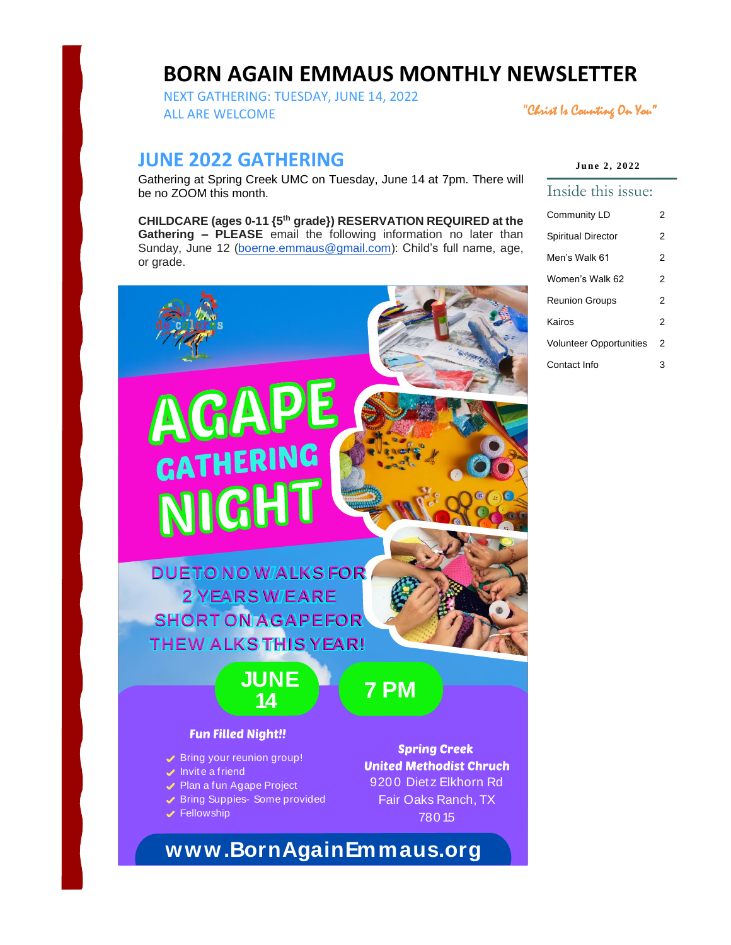# **BORN AGAIN EMMAUS MONTHLY NEWSLETTER**

NEXT GATHERING: TUESDAY, JUNE 14, 2022 ALL ARE WELCOME

"Christ Is Counting On You"

# **JUNE 2022 GATHERING**

Gathering at Spring Creek UMC on Tuesday, June 14 at 7pm. There will be no ZOOM this month.

**CHILDCARE (ages 0-11 {5th grade}) RESERVATION REQUIRED at the Gathering – PLEASE** email the following information no later than Sunday, June 12 [\(boerne.emmaus@gmail.com\)](mailto:boerne.emmaus@gmail.com): Child's full name, age, or grade.



| June 2, 2022 |  |  |
|--------------|--|--|
|--------------|--|--|

#### Inside this issue:

| Community LD                   |  |
|--------------------------------|--|
| Spiritual Director             |  |
| Men's Walk 61                  |  |
| Women's Walk 62                |  |
| <b>Reunion Groups</b>          |  |
| Kairos                         |  |
| <b>Volunteer Opportunities</b> |  |
| Contact Info                   |  |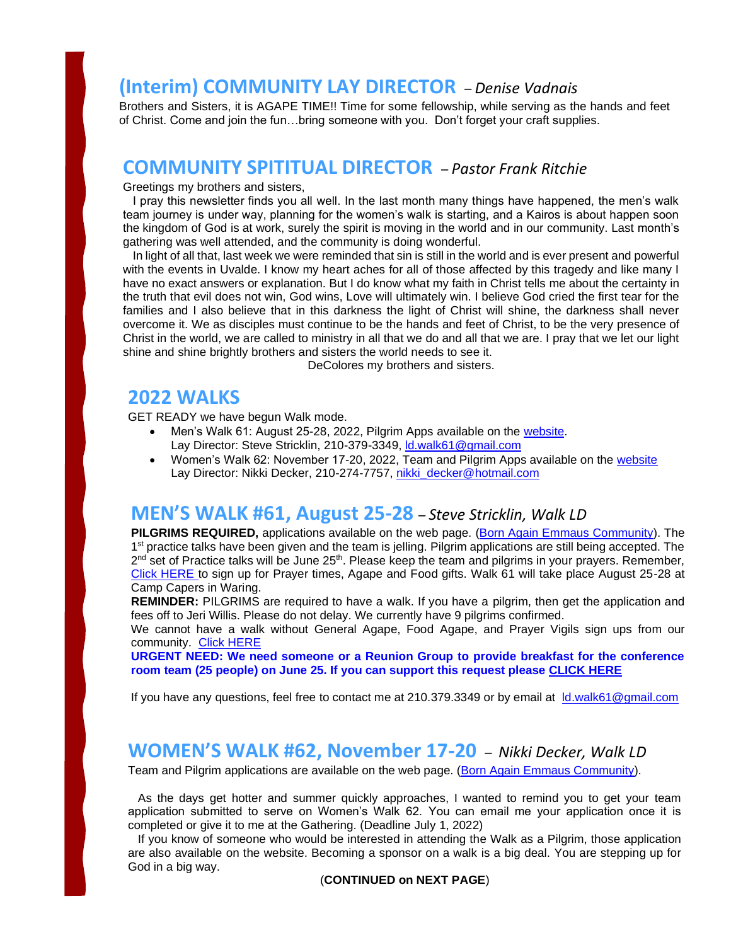# **(Interim) COMMUNITY LAY DIRECTOR** – *Denise Vadnais*

Brothers and Sisters, it is AGAPE TIME!! Time for some fellowship, while serving as the hands and feet of Christ. Come and join the fun…bring someone with you. Don't forget your craft supplies.

# **COMMUNITY SPITITUAL DIRECTOR** – *Pastor Frank Ritchie*

#### Greetings my brothers and sisters,

 I pray this newsletter finds you all well. In the last month many things have happened, the men's walk team journey is under way, planning for the women's walk is starting, and a Kairos is about happen soon the kingdom of God is at work, surely the spirit is moving in the world and in our community. Last month's gathering was well attended, and the community is doing wonderful.

 In light of all that, last week we were reminded that sin is still in the world and is ever present and powerful with the events in Uvalde. I know my heart aches for all of those affected by this tragedy and like many I have no exact answers or explanation. But I do know what my faith in Christ tells me about the certainty in the truth that evil does not win, God wins, Love will ultimately win. I believe God cried the first tear for the families and I also believe that in this darkness the light of Christ will shine, the darkness shall never overcome it. We as disciples must continue to be the hands and feet of Christ, to be the very presence of Christ in the world, we are called to ministry in all that we do and all that we are. I pray that we let our light shine and shine brightly brothers and sisters the world needs to see it.

DeColores my brothers and sisters.

# **2022 WALKS**

GET READY we have begun Walk mode.

- Men's Walk 61: August 25-28, 2022, Pilgrim Apps available on the [website.](https://www.bornagainemmaus.org/) Lay Director: Steve Stricklin, 210-379-3349, ld.walk61@gmail.com
- Women's Walk 62: November 17-20, 2022, Team and Pilgrim Apps available on the [website](https://www.bornagainemmaus.org/) Lay Director: Nikki Decker, 210-274-7757, [nikki\\_decker@hotmail.com](mailto:nikki_decker@hotmail.com)

# **MEN'S WALK #61, August 25-28** – *Steve Stricklin, Walk LD*

**PILGRIMS REQUIRED,** applications available on the web page. [\(Born Again Emmaus Community\)](https://www.bornagainemmaus.org/). The 1<sup>st</sup> practice talks have been given and the team is jelling. Pilgrim applications are still being accepted. The 2<sup>nd</sup> set of Practice talks will be June 25<sup>th</sup>. Please keep the team and pilgrims in your prayers. Remember, [Click HERE](https://www.signupgenius.com/go/10c0549a5ac2fa6f85-general4) to sign up for Prayer times, Agape and Food gifts. Walk 61 will take place August 25-28 at Camp Capers in Waring.

**REMINDER:** PILGRIMS are required to have a walk. If you have a pilgrim, then get the application and fees off to Jeri Willis. Please do not delay. We currently have 9 pilgrims confirmed.

We cannot have a walk without General Agape, Food Agape, and Prayer Vigils sign ups from our community. [Click HERE](https://www.signupgenius.com/go/10c0549a5ac2fa6f85-general4)

**URGENT NEED: We need someone or a Reunion Group to provide breakfast for the conference room team (25 people) on June 25. If you can support this request please [CLICK HERE](https://www.signupgenius.com/go/10c0549a5ac2fa6f85-general4)**

If you have any questions, feel free to contact me at 210.379.3349 or by email at [ld.walk61@gmail.com](mailto:ld.walk61@gmail.com)

## **WOMEN'S WALK #62, November 17-20** – *Nikki Decker, Walk LD*

Team and Pilgrim applications are available on the web page. [\(Born Again Emmaus Community\)](https://www.bornagainemmaus.org/).

 As the days get hotter and summer quickly approaches, I wanted to remind you to get your team application submitted to serve on Women's Walk 62. You can email me your application once it is completed or give it to me at the Gathering. (Deadline July 1, 2022)

 If you know of someone who would be interested in attending the Walk as a Pilgrim, those application are also available on the website. Becoming a sponsor on a walk is a big deal. You are stepping up for God in a big way.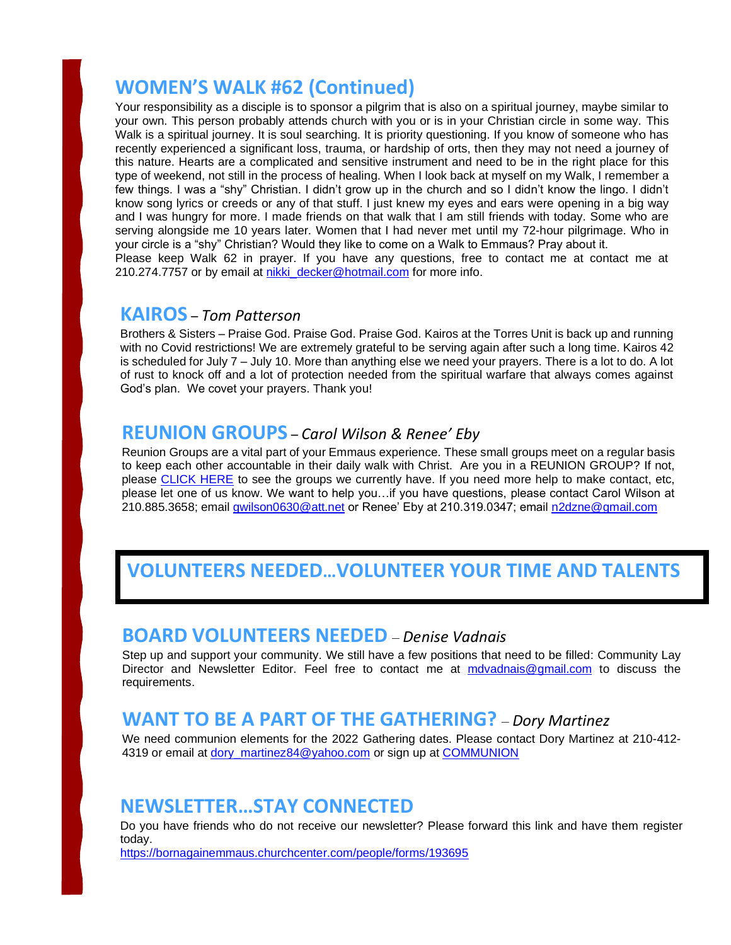# **WOMEN'S WALK #62 (Continued)**

Your responsibility as a disciple is to sponsor a pilgrim that is also on a spiritual journey, maybe similar to your own. This person probably attends church with you or is in your Christian circle in some way. This Walk is a spiritual journey. It is soul searching. It is priority questioning. If you know of someone who has recently experienced a significant loss, trauma, or hardship of orts, then they may not need a journey of this nature. Hearts are a complicated and sensitive instrument and need to be in the right place for this type of weekend, not still in the process of healing. When I look back at myself on my Walk, I remember a few things. I was a "shy" Christian. I didn't grow up in the church and so I didn't know the lingo. I didn't know song lyrics or creeds or any of that stuff. I just knew my eyes and ears were opening in a big way and I was hungry for more. I made friends on that walk that I am still friends with today. Some who are serving alongside me 10 years later. Women that I had never met until my 72-hour pilgrimage. Who in your circle is a "shy" Christian? Would they like to come on a Walk to Emmaus? Pray about it. Please keep Walk 62 in prayer. If you have any questions, free to contact me at contact me at 210.274.7757 or by email at [nikki\\_decker@](mailto:nikki_decker)hotmail.com for more info.

### **KAIROS** – *Tom Patterson*

Brothers & Sisters – Praise God. Praise God. Praise God. Kairos at the Torres Unit is back up and running with no Covid restrictions! We are extremely grateful to be serving again after such a long time. Kairos 42 is scheduled for July 7 – July 10. More than anything else we need your prayers. There is a lot to do. A lot of rust to knock off and a lot of protection needed from the spiritual warfare that always comes against God's plan. We covet your prayers. Thank you!

## **REUNION GROUPS** – *Carol Wilson & Renee' Eby*

Reunion Groups are a vital part of your Emmaus experience. These small groups meet on a regular basis to keep each other accountable in their daily walk with Christ. Are you in a REUNION GROUP? If not, please [CLICK HERE](https://www.bornagainemmaus.org/what-is-a-4th-day-reunion-group) to see the groups we currently have. If you need more help to make contact, etc, please let one of us know. We want to help you…if you have questions, please contact Carol Wilson at 210.885.3658; email [gwilson0630@att.net](mailto:gwilson0630@att.net) or Renee' Eby at 210.319.0347; email [n2dzne@gmail.com](mailto:n2dzne@gmail.com)

# **VOLUNTEERS NEEDED…VOLUNTEER YOUR TIME AND TALENTS**

## **BOARD VOLUNTEERS NEEDED** – *Denise Vadnais*

Step up and support your community. We still have a few positions that need to be filled: Community Lay Director and Newsletter Editor. Feel free to contact me at [mdvadnais@gmail.com](mailto:mdvadnais@gmail.com) to discuss the requirements.

# **WANT TO BE A PART OF THE GATHERING?** – *Dory Martinez*

We need communion elements for the 2022 Gathering dates. Please contact Dory Martinez at 210-412- 4319 or email at dory martinez84@yahoo.com or sign up at [COMMUNION](https://www.signupgenius.com/go/10c0549a5ac2fa6f85-2022)

# **NEWSLETTER…STAY CONNECTED**

Do you have friends who do not receive our newsletter? Please forward this link and have them register today.

<https://bornagainemmaus.churchcenter.com/people/forms/193695>